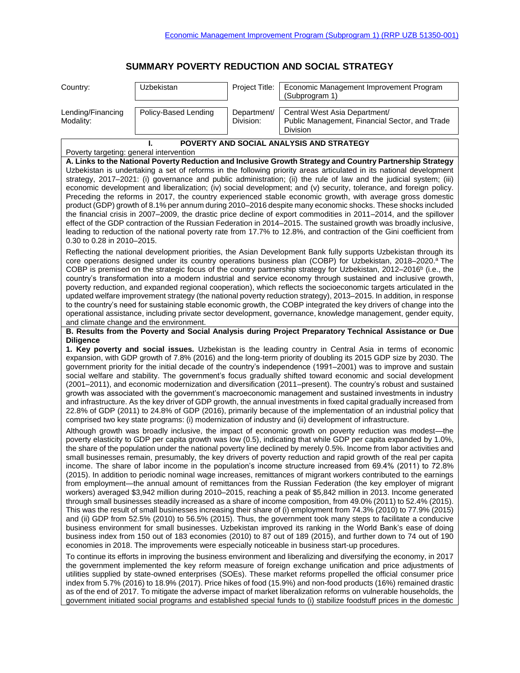## **SUMMARY POVERTY REDUCTION AND SOCIAL STRATEGY**

| Country:                                                                                                                                                                                                                                                                                                                                                                                                                                                                                                                                                                                                                                                                                                                                                                                                                                                                                                                                                                                                                                                                                                                                                                                                                                                                                                                                                                                                                                                                                                                                                                                                                                           | Uzbekistan           | Project Title:           | Economic Management Improvement Program<br>(Subprogram 1)                                   |  |
|----------------------------------------------------------------------------------------------------------------------------------------------------------------------------------------------------------------------------------------------------------------------------------------------------------------------------------------------------------------------------------------------------------------------------------------------------------------------------------------------------------------------------------------------------------------------------------------------------------------------------------------------------------------------------------------------------------------------------------------------------------------------------------------------------------------------------------------------------------------------------------------------------------------------------------------------------------------------------------------------------------------------------------------------------------------------------------------------------------------------------------------------------------------------------------------------------------------------------------------------------------------------------------------------------------------------------------------------------------------------------------------------------------------------------------------------------------------------------------------------------------------------------------------------------------------------------------------------------------------------------------------------------|----------------------|--------------------------|---------------------------------------------------------------------------------------------|--|
| Lending/Financing<br>Modality:                                                                                                                                                                                                                                                                                                                                                                                                                                                                                                                                                                                                                                                                                                                                                                                                                                                                                                                                                                                                                                                                                                                                                                                                                                                                                                                                                                                                                                                                                                                                                                                                                     | Policy-Based Lending | Department/<br>Division: | Central West Asia Department/<br>Public Management, Financial Sector, and Trade<br>Division |  |
| POVERTY AND SOCIAL ANALYSIS AND STRATEGY                                                                                                                                                                                                                                                                                                                                                                                                                                                                                                                                                                                                                                                                                                                                                                                                                                                                                                                                                                                                                                                                                                                                                                                                                                                                                                                                                                                                                                                                                                                                                                                                           |                      |                          |                                                                                             |  |
| Poverty targeting: general intervention<br>A. Links to the National Poverty Reduction and Inclusive Growth Strategy and Country Partnership Strategy<br>Uzbekistan is undertaking a set of reforms in the following priority areas articulated in its national development<br>strategy, 2017-2021: (i) governance and public administration; (ii) the rule of law and the judicial system; (iii)<br>economic development and liberalization; (iv) social development; and (v) security, tolerance, and foreign policy.<br>Preceding the reforms in 2017, the country experienced stable economic growth, with average gross domestic<br>product (GDP) growth of 8.1% per annum during 2010–2016 despite many economic shocks. These shocks included<br>the financial crisis in 2007–2009, the drastic price decline of export commodities in 2011–2014, and the spillover<br>effect of the GDP contraction of the Russian Federation in 2014–2015. The sustained growth was broadly inclusive,                                                                                                                                                                                                                                                                                                                                                                                                                                                                                                                                                                                                                                                     |                      |                          |                                                                                             |  |
| leading to reduction of the national poverty rate from 17.7% to 12.8%, and contraction of the Gini coefficient from<br>0.30 to 0.28 in 2010-2015.                                                                                                                                                                                                                                                                                                                                                                                                                                                                                                                                                                                                                                                                                                                                                                                                                                                                                                                                                                                                                                                                                                                                                                                                                                                                                                                                                                                                                                                                                                  |                      |                          |                                                                                             |  |
| Reflecting the national development priorities, the Asian Development Bank fully supports Uzbekistan through its<br>core operations designed under its country operations business plan (COBP) for Uzbekistan, 2018-2020. <sup>a</sup> The<br>COBP is premised on the strategic focus of the country partnership strategy for Uzbekistan, 2012–2016 <sup>b</sup> (i.e., the<br>country's transformation into a modern industrial and service economy through sustained and inclusive growth,<br>poverty reduction, and expanded regional cooperation), which reflects the socioeconomic targets articulated in the<br>updated welfare improvement strategy (the national poverty reduction strategy), 2013-2015. In addition, in response<br>to the country's need for sustaining stable economic growth, the COBP integrated the key drivers of change into the<br>operational assistance, including private sector development, governance, knowledge management, gender equity,<br>and climate change and the environment.                                                                                                                                                                                                                                                                                                                                                                                                                                                                                                                                                                                                                      |                      |                          |                                                                                             |  |
| B. Results from the Poverty and Social Analysis during Project Preparatory Technical Assistance or Due                                                                                                                                                                                                                                                                                                                                                                                                                                                                                                                                                                                                                                                                                                                                                                                                                                                                                                                                                                                                                                                                                                                                                                                                                                                                                                                                                                                                                                                                                                                                             |                      |                          |                                                                                             |  |
| <b>Diligence</b><br>1. Key poverty and social issues. Uzbekistan is the leading country in Central Asia in terms of economic<br>expansion, with GDP growth of 7.8% (2016) and the long-term priority of doubling its 2015 GDP size by 2030. The<br>government priority for the initial decade of the country's independence (1991-2001) was to improve and sustain<br>social welfare and stability. The government's focus gradually shifted toward economic and social development<br>(2001–2011), and economic modernization and diversification (2011–present). The country's robust and sustained<br>growth was associated with the government's macroeconomic management and sustained investments in industry<br>and infrastructure. As the key driver of GDP growth, the annual investments in fixed capital gradually increased from<br>22.8% of GDP (2011) to 24.8% of GDP (2016), primarily because of the implementation of an industrial policy that<br>comprised two key state programs: (i) modernization of industry and (ii) development of infrastructure.                                                                                                                                                                                                                                                                                                                                                                                                                                                                                                                                                                        |                      |                          |                                                                                             |  |
| Although growth was broadly inclusive, the impact of economic growth on poverty reduction was modest—the<br>poverty elasticity to GDP per capita growth was low (0.5), indicating that while GDP per capita expanded by 1.0%,<br>the share of the population under the national poverty line declined by merely 0.5%. Income from labor activities and<br>small businesses remain, presumably, the key drivers of poverty reduction and rapid growth of the real per capita<br>income. The share of labor income in the population's income structure increased from 69.4% (2011) to 72.8%<br>(2015). In addition to periodic nominal wage increases, remittances of migrant workers contributed to the earnings<br>from employment—the annual amount of remittances from the Russian Federation (the key employer of migrant<br>workers) averaged \$3,942 million during 2010-2015, reaching a peak of \$5,842 million in 2013. Income generated<br>through small businesses steadily increased as a share of income composition, from 49.0% (2011) to 52.4% (2015).<br>This was the result of small businesses increasing their share of (i) employment from 74.3% (2010) to 77.9% (2015)<br>and (ii) GDP from 52.5% (2010) to 56.5% (2015). Thus, the government took many steps to facilitate a conducive<br>business environment for small businesses. Uzbekistan improved its ranking in the World Bank's ease of doing<br>business index from 150 out of 183 economies (2010) to 87 out of 189 (2015), and further down to 74 out of 190<br>economies in 2018. The improvements were especially noticeable in business start-up procedures. |                      |                          |                                                                                             |  |
| To continue its efforts in improving the business environment and liberalizing and diversifying the economy, in 2017<br>the government implemented the key reform measure of foreign exchange unification and price adjustments of<br>utilities supplied by state-owned enterprises (SOEs). These market reforms propelled the official consumer price<br>index from 5.7% (2016) to 18.9% (2017). Price hikes of food (15.9%) and non-food products (16%) remained drastic<br>as of the end of 2017. To mitigate the adverse impact of market liberalization reforms on vulnerable households, the<br>government initiated social programs and established special funds to (i) stabilize foodstuff prices in the domestic                                                                                                                                                                                                                                                                                                                                                                                                                                                                                                                                                                                                                                                                                                                                                                                                                                                                                                                         |                      |                          |                                                                                             |  |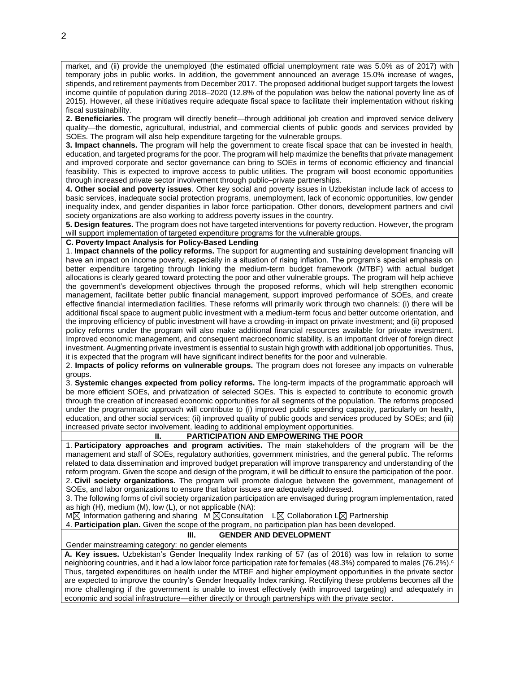market, and (ii) provide the unemployed (the estimated official unemployment rate was 5.0% as of 2017) with temporary jobs in public works. In addition, the government announced an average 15.0% increase of wages, stipends, and retirement payments from December 2017. The proposed additional budget support targets the lowest income quintile of population during 2018–2020 (12.8% of the population was below the national poverty line as of 2015). However, all these initiatives require adequate fiscal space to facilitate their implementation without risking fiscal sustainability.

**2. Beneficiaries.** The program will directly benefit—through additional job creation and improved service delivery quality—the domestic, agricultural, industrial, and commercial clients of public goods and services provided by SOEs. The program will also help expenditure targeting for the vulnerable groups.

**3. Impact channels.** The program will help the government to create fiscal space that can be invested in health, education, and targeted programs for the poor. The program will help maximize the benefits that private management and improved corporate and sector governance can bring to SOEs in terms of economic efficiency and financial feasibility. This is expected to improve access to public utilities. The program will boost economic opportunities through increased private sector involvement through public–private partnerships.

**4. Other social and poverty issues**. Other key social and poverty issues in Uzbekistan include lack of access to basic services, inadequate social protection programs, unemployment, lack of economic opportunities, low gender inequality index, and gender disparities in labor force participation. Other donors, development partners and civil society organizations are also working to address poverty issues in the country.

**5. Design features.** The program does not have targeted interventions for poverty reduction. However, the program will support implementation of targeted expenditure programs for the vulnerable groups.

## **C. Poverty Impact Analysis for Policy-Based Lending**

1. **Impact channels of the policy reforms.** The support for augmenting and sustaining development financing will have an impact on income poverty, especially in a situation of rising inflation. The program's special emphasis on better expenditure targeting through linking the medium-term budget framework (MTBF) with actual budget allocations is clearly geared toward protecting the poor and other vulnerable groups. The program will help achieve the government's development objectives through the proposed reforms, which will help strengthen economic management, facilitate better public financial management, support improved performance of SOEs, and create effective financial intermediation facilities. These reforms will primarily work through two channels: (i) there will be additional fiscal space to augment public investment with a medium-term focus and better outcome orientation, and the improving efficiency of public investment will have a crowding-in impact on private investment; and (ii) proposed policy reforms under the program will also make additional financial resources available for private investment. Improved economic management, and consequent macroeconomic stability, is an important driver of foreign direct investment. Augmenting private investment is essential to sustain high growth with additional job opportunities. Thus, it is expected that the program will have significant indirect benefits for the poor and vulnerable.

2. **Impacts of policy reforms on vulnerable groups.** The program does not foresee any impacts on vulnerable groups.

3. **Systemic changes expected from policy reforms.** The long-term impacts of the programmatic approach will be more efficient SOEs, and privatization of selected SOEs. This is expected to contribute to economic growth through the creation of increased economic opportunities for all segments of the population. The reforms proposed under the programmatic approach will contribute to (i) improved public spending capacity, particularly on health, education, and other social services; (ii) improved quality of public goods and services produced by SOEs; and (iii) increased private sector involvement, leading to additional employment opportunities.

**II. PARTICIPATION AND EMPOWERING THE POOR**

1. **Participatory approaches and program activities.** The main stakeholders of the program will be the management and staff of SOEs, regulatory authorities, government ministries, and the general public. The reforms related to data dissemination and improved budget preparation will improve transparency and understanding of the reform program. Given the scope and design of the program, it will be difficult to ensure the participation of the poor. 2. **Civil society organizations.** The program will promote dialogue between the government, management of SOEs, and labor organizations to ensure that labor issues are adequately addressed.

3. The following forms of civil society organization participation are envisaged during program implementation, rated as high (H), medium (M), low (L), or not applicable (NA):

 $M\boxtimes$  Information gathering and sharing M  $\boxtimes$ Consultation L $\boxtimes$  Collaboration L $\boxtimes$  Partnership

4. **Participation plan.** Given the scope of the program, no participation plan has been developed.

## **III. GENDER AND DEVELOPMENT**

Gender mainstreaming category: no gender elements

**A. Key issues.** Uzbekistan's Gender Inequality Index ranking of 57 (as of 2016) was low in relation to some neighboring countries, and it had a low labor force participation rate for females (48.3%) compared to males (76.2%). c Thus, targeted expenditures on health under the MTBF and higher employment opportunities in the private sector are expected to improve the country's Gender Inequality Index ranking. Rectifying these problems becomes all the more challenging if the government is unable to invest effectively (with improved targeting) and adequately in economic and social infrastructure—either directly or through partnerships with the private sector.